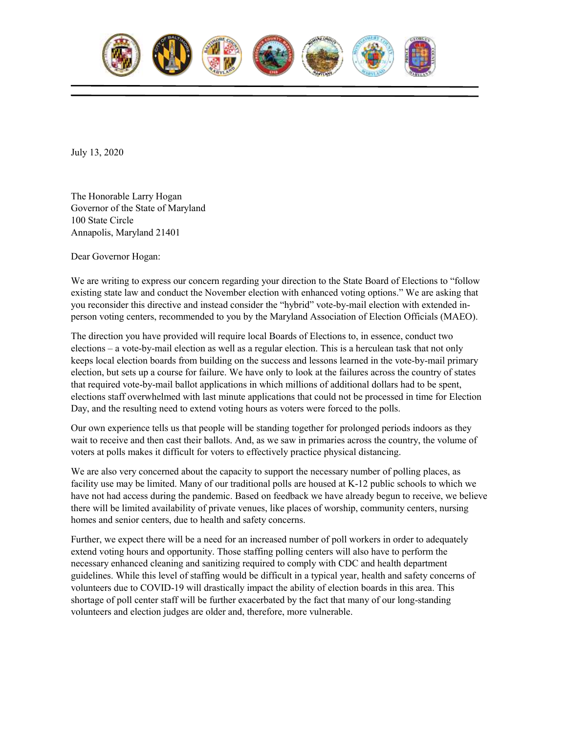

July 13, 2020

The Honorable Larry Hogan Governor of the State of Maryland 100 State Circle Annapolis, Maryland 21401

Dear Governor Hogan:

We are writing to express our concern regarding your direction to the State Board of Elections to "follow existing state law and conduct the November election with enhanced voting options." We are asking that you reconsider this directive and instead consider the "hybrid" vote-by-mail election with extended inperson voting centers, recommended to you by the Maryland Association of Election Officials (MAEO).

The direction you have provided will require local Boards of Elections to, in essence, conduct two elections – a vote-by-mail election as well as a regular election. This is a herculean task that not only keeps local election boards from building on the success and lessons learned in the vote-by-mail primary election, but sets up a course for failure. We have only to look at the failures across the country of states that required vote-by-mail ballot applications in which millions of additional dollars had to be spent, elections staff overwhelmed with last minute applications that could not be processed in time for Election Day, and the resulting need to extend voting hours as voters were forced to the polls.

Our own experience tells us that people will be standing together for prolonged periods indoors as they wait to receive and then cast their ballots. And, as we saw in primaries across the country, the volume of voters at polls makes it difficult for voters to effectively practice physical distancing.

We are also very concerned about the capacity to support the necessary number of polling places, as facility use may be limited. Many of our traditional polls are housed at K-12 public schools to which we have not had access during the pandemic. Based on feedback we have already begun to receive, we believe there will be limited availability of private venues, like places of worship, community centers, nursing homes and senior centers, due to health and safety concerns.

Further, we expect there will be a need for an increased number of poll workers in order to adequately extend voting hours and opportunity. Those staffing polling centers will also have to perform the necessary enhanced cleaning and sanitizing required to comply with CDC and health department guidelines. While this level of staffing would be difficult in a typical year, health and safety concerns of volunteers due to COVID-19 will drastically impact the ability of election boards in this area. This shortage of poll center staff will be further exacerbated by the fact that many of our long-standing volunteers and election judges are older and, therefore, more vulnerable.